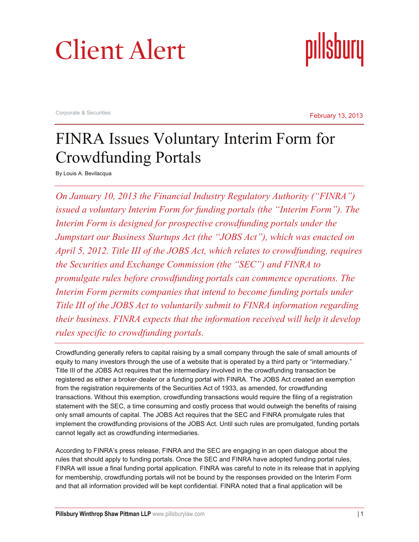



Corporate & Securities

February 13, 2013

## FINRA Issues Voluntary Interim Form for Crowdfunding Portals

By Louis A. Bevilacqua

*On January 10, 2013 the Financial Industry Regulatory Authority ("FINRA") issued a voluntary Interim Form for funding portals (the "Interim Form"). The Interim Form is designed for prospective crowdfunding portals under the Jumpstart our Business Startups Act (the "JOBS Act"), which was enacted on April 5, 2012. Title III of the JOBS Act, which relates to crowdfunding, requires the Securities and Exchange Commission (the "SEC") and FINRA to promulgate rules before crowdfunding portals can commence operations. The*  Interim Form permits companies that intend to become funding portals under *Title III of the JOBS Act to voluntarily submit to FINRA information regarding their business. FINRA expects that the information received will help it develop rules specific to crowdfunding portals.*

Crowdfunding generally refers to capital raising by a small company through the sale of small amounts of equity to many investors through the use of a website that is operated by a third party or "intermediary." Title III of the JOBS Act requires that the intermediary involved in the crowdfunding transaction be registered as either a broker-dealer or a funding portal with FINRA. The JOBS Act created an exemption from the registration requirements of the Securities Act of 1933, as amended, for crowdfunding transactions. Without this exemption, crowdfunding transactions would require the filing of a registration statement with the SEC, a time consuming and costly process that would outweigh the benefits of raising only small amounts of capital. The JOBS Act requires that the SEC and FINRA promulgate rules that implement the crowdfunding provisions of the JOBS Act. Until such rules are promulgated, funding portals cannot legally act as crowdfunding intermediaries.

According to FINRA's press release, FINRA and the SEC are engaging in an open dialogue about the rules that should apply to funding portals. Once the SEC and FINRA have adopted funding portal rules, FINRA will issue a final funding portal application. FINRA was careful to note in its release that in applying for membership, crowdfunding portals will not be bound by the responses provided on the Interim Form and that all information provided will be kept confidential. FINRA noted that a final application will be